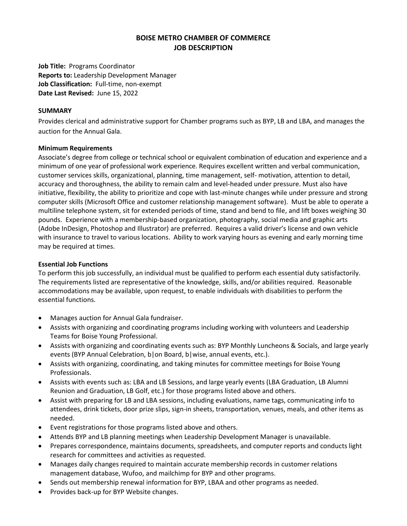# **BOISE METRO CHAMBER OF COMMERCE JOB DESCRIPTION**

**Job Title:** Programs Coordinator **Reports to:** Leadership Development Manager **Job Classification:** Full-time, non-exempt **Date Last Revised:** June 15, 2022

## **SUMMARY**

Provides clerical and administrative support for Chamber programs such as BYP, LB and LBA, and manages the auction for the Annual Gala.

# **Minimum Requirements**

Associate's degree from college or technical school or equivalent combination of education and experience and a minimum of one year of professional work experience. Requires excellent written and verbal communication, customer services skills, organizational, planning, time management, self- motivation, attention to detail, accuracy and thoroughness, the ability to remain calm and level-headed under pressure. Must also have initiative, flexibility, the ability to prioritize and cope with last-minute changes while under pressure and strong computer skills (Microsoft Office and customer relationship management software). Must be able to operate a multiline telephone system, sit for extended periods of time, stand and bend to file, and lift boxes weighing 30 pounds. Experience with a membership-based organization, photography, social media and graphic arts (Adobe InDesign, Photoshop and Illustrator) are preferred. Requires a valid driver's license and own vehicle with insurance to travel to various locations. Ability to work varying hours as evening and early morning time may be required at times.

## **Essential Job Functions**

To perform this job successfully, an individual must be qualified to perform each essential duty satisfactorily. The requirements listed are representative of the knowledge, skills, and/or abilities required. Reasonable accommodations may be available, upon request, to enable individuals with disabilities to perform the essential functions.

- Manages auction for Annual Gala fundraiser.
- Assists with organizing and coordinating programs including working with volunteers and Leadership Teams for Boise Young Professional.
- Assists with organizing and coordinating events such as: BYP Monthly Luncheons & Socials, and large yearly events (BYP Annual Celebration, b|on Board, b|wise, annual events, etc.).
- Assists with organizing, coordinating, and taking minutes for committee meetings for Boise Young Professionals.
- Assists with events such as: LBA and LB Sessions, and large yearly events (LBA Graduation, LB Alumni Reunion and Graduation, LB Golf, etc.) for those programs listed above and others.
- Assist with preparing for LB and LBA sessions, including evaluations, name tags, communicating info to attendees, drink tickets, door prize slips, sign-in sheets, transportation, venues, meals, and other items as needed.
- Event registrations for those programs listed above and others.
- Attends BYP and LB planning meetings when Leadership Development Manager is unavailable.
- Prepares correspondence, maintains documents, spreadsheets, and computer reports and conducts light research for committees and activities as requested.
- Manages daily changes required to maintain accurate membership records in customer relations management database, Wufoo, and mailchimp for BYP and other programs.
- Sends out membership renewal information for BYP, LBAA and other programs as needed.
- Provides back-up for BYP Website changes.